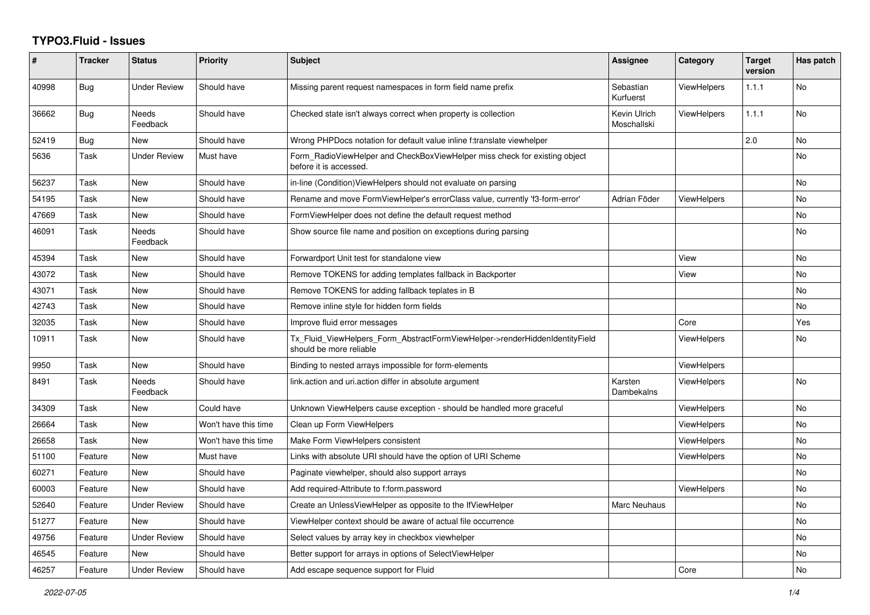## **TYPO3.Fluid - Issues**

| #     | <b>Tracker</b> | <b>Status</b>            | Priority             | Subject                                                                                                | Assignee                    | Category           | <b>Target</b><br>version | Has patch      |
|-------|----------------|--------------------------|----------------------|--------------------------------------------------------------------------------------------------------|-----------------------------|--------------------|--------------------------|----------------|
| 40998 | Bug            | <b>Under Review</b>      | Should have          | Missing parent request namespaces in form field name prefix                                            | Sebastian<br>Kurfuerst      | <b>ViewHelpers</b> | 1.1.1                    | No             |
| 36662 | Bug            | Needs<br>Feedback        | Should have          | Checked state isn't always correct when property is collection                                         | Kevin Ulrich<br>Moschallski | <b>ViewHelpers</b> | 1.1.1                    | No             |
| 52419 | Bug            | <b>New</b>               | Should have          | Wrong PHPDocs notation for default value inline f:translate viewhelper                                 |                             |                    | 2.0                      | No             |
| 5636  | Task           | <b>Under Review</b>      | Must have            | Form_RadioViewHelper and CheckBoxViewHelper miss check for existing object<br>before it is accessed.   |                             |                    |                          | N <sub>o</sub> |
| 56237 | Task           | New                      | Should have          | in-line (Condition) View Helpers should not evaluate on parsing                                        |                             |                    |                          | No             |
| 54195 | Task           | New                      | Should have          | Rename and move FormViewHelper's errorClass value, currently 'f3-form-error'                           | Adrian Föder                | <b>ViewHelpers</b> |                          | No             |
| 47669 | Task           | New                      | Should have          | FormViewHelper does not define the default request method                                              |                             |                    |                          | No             |
| 46091 | Task           | Needs<br>Feedback        | Should have          | Show source file name and position on exceptions during parsing                                        |                             |                    |                          | No             |
| 45394 | Task           | New                      | Should have          | Forwardport Unit test for standalone view                                                              |                             | View               |                          | No             |
| 43072 | Task           | New                      | Should have          | Remove TOKENS for adding templates fallback in Backporter                                              |                             | View               |                          | No             |
| 43071 | Task           | New                      | Should have          | Remove TOKENS for adding fallback teplates in B                                                        |                             |                    |                          | <b>No</b>      |
| 42743 | Task           | New                      | Should have          | Remove inline style for hidden form fields                                                             |                             |                    |                          | No             |
| 32035 | Task           | New                      | Should have          | Improve fluid error messages                                                                           |                             | Core               |                          | Yes            |
| 10911 | Task           | <b>New</b>               | Should have          | Tx Fluid ViewHelpers Form AbstractFormViewHelper->renderHiddenIdentityField<br>should be more reliable |                             | <b>ViewHelpers</b> |                          | No             |
| 9950  | Task           | <b>New</b>               | Should have          | Binding to nested arrays impossible for form-elements                                                  |                             | <b>ViewHelpers</b> |                          |                |
| 8491  | Task           | <b>Needs</b><br>Feedback | Should have          | link.action and uri.action differ in absolute argument                                                 | Karsten<br>Dambekalns       | <b>ViewHelpers</b> |                          | No             |
| 34309 | Task           | New                      | Could have           | Unknown ViewHelpers cause exception - should be handled more graceful                                  |                             | ViewHelpers        |                          | N <sub>o</sub> |
| 26664 | Task           | New                      | Won't have this time | Clean up Form ViewHelpers                                                                              |                             | <b>ViewHelpers</b> |                          | No             |
| 26658 | Task           | New                      | Won't have this time | Make Form ViewHelpers consistent                                                                       |                             | <b>ViewHelpers</b> |                          | No             |
| 51100 | Feature        | New                      | Must have            | Links with absolute URI should have the option of URI Scheme                                           |                             | ViewHelpers        |                          | No             |
| 60271 | Feature        | New                      | Should have          | Paginate viewhelper, should also support arrays                                                        |                             |                    |                          | No             |
| 60003 | Feature        | <b>New</b>               | Should have          | Add required-Attribute to f:form.password                                                              |                             | <b>ViewHelpers</b> |                          | No             |
| 52640 | Feature        | <b>Under Review</b>      | Should have          | Create an UnlessViewHelper as opposite to the IfViewHelper                                             | Marc Neuhaus                |                    |                          | No             |
| 51277 | Feature        | <b>New</b>               | Should have          | ViewHelper context should be aware of actual file occurrence                                           |                             |                    |                          | <b>No</b>      |
| 49756 | Feature        | <b>Under Review</b>      | Should have          | Select values by array key in checkbox viewhelper                                                      |                             |                    |                          | No             |
| 46545 | Feature        | New                      | Should have          | Better support for arrays in options of SelectViewHelper                                               |                             |                    |                          | No             |
| 46257 | Feature        | <b>Under Review</b>      | Should have          | Add escape sequence support for Fluid                                                                  |                             | Core               |                          | No.            |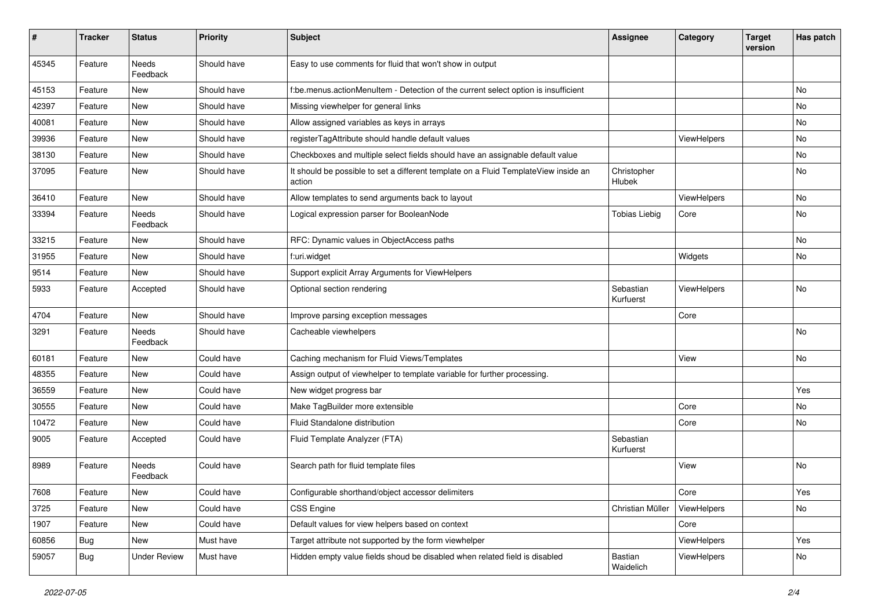| $\sharp$ | <b>Tracker</b> | <b>Status</b>       | <b>Priority</b> | <b>Subject</b>                                                                                | <b>Assignee</b>        | Category    | <b>Target</b><br>version | Has patch |
|----------|----------------|---------------------|-----------------|-----------------------------------------------------------------------------------------------|------------------------|-------------|--------------------------|-----------|
| 45345    | Feature        | Needs<br>Feedback   | Should have     | Easy to use comments for fluid that won't show in output                                      |                        |             |                          |           |
| 45153    | Feature        | New                 | Should have     | f:be.menus.actionMenuItem - Detection of the current select option is insufficient            |                        |             |                          | No        |
| 42397    | Feature        | New                 | Should have     | Missing viewhelper for general links                                                          |                        |             |                          | No        |
| 40081    | Feature        | New                 | Should have     | Allow assigned variables as keys in arrays                                                    |                        |             |                          | No        |
| 39936    | Feature        | New                 | Should have     | registerTagAttribute should handle default values                                             |                        | ViewHelpers |                          | No        |
| 38130    | Feature        | New                 | Should have     | Checkboxes and multiple select fields should have an assignable default value                 |                        |             |                          | No        |
| 37095    | Feature        | New                 | Should have     | It should be possible to set a different template on a Fluid TemplateView inside an<br>action | Christopher<br>Hlubek  |             |                          | No        |
| 36410    | Feature        | New                 | Should have     | Allow templates to send arguments back to layout                                              |                        | ViewHelpers |                          | No        |
| 33394    | Feature        | Needs<br>Feedback   | Should have     | Logical expression parser for BooleanNode                                                     | <b>Tobias Liebig</b>   | Core        |                          | No        |
| 33215    | Feature        | New                 | Should have     | RFC: Dynamic values in ObjectAccess paths                                                     |                        |             |                          | No        |
| 31955    | Feature        | New                 | Should have     | f:uri.widget                                                                                  |                        | Widgets     |                          | No        |
| 9514     | Feature        | New                 | Should have     | Support explicit Array Arguments for ViewHelpers                                              |                        |             |                          |           |
| 5933     | Feature        | Accepted            | Should have     | Optional section rendering                                                                    | Sebastian<br>Kurfuerst | ViewHelpers |                          | No        |
| 4704     | Feature        | <b>New</b>          | Should have     | Improve parsing exception messages                                                            |                        | Core        |                          |           |
| 3291     | Feature        | Needs<br>Feedback   | Should have     | Cacheable viewhelpers                                                                         |                        |             |                          | No        |
| 60181    | Feature        | New                 | Could have      | Caching mechanism for Fluid Views/Templates                                                   |                        | View        |                          | No        |
| 48355    | Feature        | New                 | Could have      | Assign output of viewhelper to template variable for further processing.                      |                        |             |                          |           |
| 36559    | Feature        | New                 | Could have      | New widget progress bar                                                                       |                        |             |                          | Yes       |
| 30555    | Feature        | New                 | Could have      | Make TagBuilder more extensible                                                               |                        | Core        |                          | No        |
| 10472    | Feature        | New                 | Could have      | Fluid Standalone distribution                                                                 |                        | Core        |                          | No        |
| 9005     | Feature        | Accepted            | Could have      | Fluid Template Analyzer (FTA)                                                                 | Sebastian<br>Kurfuerst |             |                          |           |
| 8989     | Feature        | Needs<br>Feedback   | Could have      | Search path for fluid template files                                                          |                        | View        |                          | <b>No</b> |
| 7608     | Feature        | New                 | Could have      | Configurable shorthand/object accessor delimiters                                             |                        | Core        |                          | Yes       |
| 3725     | Feature        | New                 | Could have      | CSS Engine                                                                                    | Christian Müller       | ViewHelpers |                          | No        |
| 1907     | Feature        | New                 | Could have      | Default values for view helpers based on context                                              |                        | Core        |                          |           |
| 60856    | <b>Bug</b>     | New                 | Must have       | Target attribute not supported by the form viewhelper                                         |                        | ViewHelpers |                          | Yes       |
| 59057    | Bug            | <b>Under Review</b> | Must have       | Hidden empty value fields shoud be disabled when related field is disabled                    | Bastian<br>Waidelich   | ViewHelpers |                          | No        |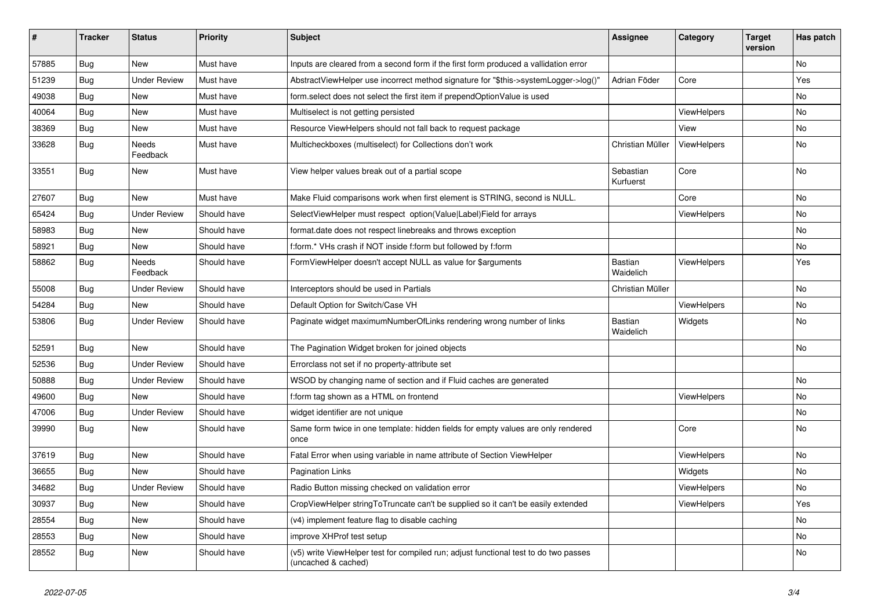| #     | <b>Tracker</b> | <b>Status</b>            | <b>Priority</b> | <b>Subject</b>                                                                                              | Assignee                    | Category           | <b>Target</b><br>version | Has patch |
|-------|----------------|--------------------------|-----------------|-------------------------------------------------------------------------------------------------------------|-----------------------------|--------------------|--------------------------|-----------|
| 57885 | <b>Bug</b>     | New                      | Must have       | Inputs are cleared from a second form if the first form produced a vallidation error                        |                             |                    |                          | <b>No</b> |
| 51239 | Bug            | <b>Under Review</b>      | Must have       | AbstractViewHelper use incorrect method signature for "\$this->systemLogger->log()"                         | Adrian Föder                | Core               |                          | Yes       |
| 49038 | <b>Bug</b>     | New                      | Must have       | form.select does not select the first item if prependOptionValue is used                                    |                             |                    |                          | No        |
| 40064 | Bug            | New                      | Must have       | Multiselect is not getting persisted                                                                        |                             | ViewHelpers        |                          | <b>No</b> |
| 38369 | <b>Bug</b>     | New                      | Must have       | Resource ViewHelpers should not fall back to request package                                                |                             | View               |                          | No        |
| 33628 | <b>Bug</b>     | <b>Needs</b><br>Feedback | Must have       | Multicheckboxes (multiselect) for Collections don't work                                                    | Christian Müller            | <b>ViewHelpers</b> |                          | No        |
| 33551 | Bug            | New                      | Must have       | View helper values break out of a partial scope                                                             | Sebastian<br>Kurfuerst      | Core               |                          | <b>No</b> |
| 27607 | Bug            | New                      | Must have       | Make Fluid comparisons work when first element is STRING, second is NULL.                                   |                             | Core               |                          | No        |
| 65424 | Bug            | <b>Under Review</b>      | Should have     | SelectViewHelper must respect option(Value Label)Field for arrays                                           |                             | ViewHelpers        |                          | No        |
| 58983 | Bug            | New                      | Should have     | format.date does not respect linebreaks and throws exception                                                |                             |                    |                          | No        |
| 58921 | <b>Bug</b>     | New                      | Should have     | f:form.* VHs crash if NOT inside f:form but followed by f:form                                              |                             |                    |                          | No        |
| 58862 | Bug            | Needs<br>Feedback        | Should have     | FormViewHelper doesn't accept NULL as value for \$arguments                                                 | <b>Bastian</b><br>Waidelich | ViewHelpers        |                          | Yes       |
| 55008 | Bug            | Under Review             | Should have     | Interceptors should be used in Partials                                                                     | Christian Müller            |                    |                          | No        |
| 54284 | <b>Bug</b>     | New                      | Should have     | Default Option for Switch/Case VH                                                                           |                             | ViewHelpers        |                          | No        |
| 53806 | Bug            | <b>Under Review</b>      | Should have     | Paginate widget maximumNumberOfLinks rendering wrong number of links                                        | <b>Bastian</b><br>Waidelich | Widgets            |                          | No        |
| 52591 | Bug            | New                      | Should have     | The Pagination Widget broken for joined objects                                                             |                             |                    |                          | <b>No</b> |
| 52536 | <b>Bug</b>     | <b>Under Review</b>      | Should have     | Errorclass not set if no property-attribute set                                                             |                             |                    |                          |           |
| 50888 | <b>Bug</b>     | <b>Under Review</b>      | Should have     | WSOD by changing name of section and if Fluid caches are generated                                          |                             |                    |                          | <b>No</b> |
| 49600 | <b>Bug</b>     | New                      | Should have     | f:form tag shown as a HTML on frontend                                                                      |                             | ViewHelpers        |                          | No        |
| 47006 | Bug            | <b>Under Review</b>      | Should have     | widget identifier are not unique                                                                            |                             |                    |                          | No        |
| 39990 | Bug            | New                      | Should have     | Same form twice in one template: hidden fields for empty values are only rendered<br>once                   |                             | Core               |                          | No        |
| 37619 | <b>Bug</b>     | New                      | Should have     | Fatal Error when using variable in name attribute of Section ViewHelper                                     |                             | ViewHelpers        |                          | No        |
| 36655 | Bug            | New                      | Should have     | <b>Pagination Links</b>                                                                                     |                             | Widgets            |                          | No        |
| 34682 | Bug            | <b>Under Review</b>      | Should have     | Radio Button missing checked on validation error                                                            |                             | ViewHelpers        |                          | <b>No</b> |
| 30937 | Bug            | New                      | Should have     | CropViewHelper stringToTruncate can't be supplied so it can't be easily extended                            |                             | ViewHelpers        |                          | Yes       |
| 28554 | Bug            | New                      | Should have     | (v4) implement feature flag to disable caching                                                              |                             |                    |                          | No        |
| 28553 | Bug            | New                      | Should have     | improve XHProf test setup                                                                                   |                             |                    |                          | No        |
| 28552 | Bug            | New                      | Should have     | (v5) write ViewHelper test for compiled run; adjust functional test to do two passes<br>(uncached & cached) |                             |                    |                          | No        |